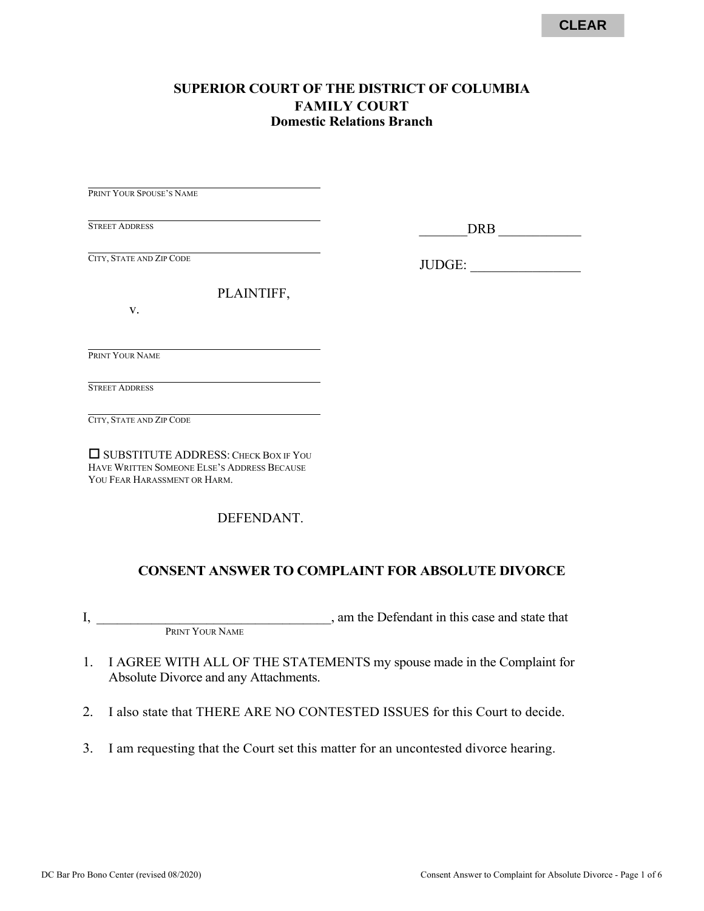## **SUPERIOR COURT OF THE DISTRICT OF COLUMBIA FAMILY COURT Domestic Relations Branch**

PRINT YOUR SPOUSE'S NAME

STREET ADDRESS

\_\_\_\_\_\_\_DRB \_\_\_\_\_\_\_\_\_\_\_\_

CITY, STATE AND ZIP CODE

JUDGE: \_\_\_\_\_\_\_\_\_\_\_\_\_\_\_\_

PLAINTIFF,

v.

PRINT YOUR NAME

STREET ADDRESS

CITY, STATE AND ZIP CODE

SUBSTITUTE ADDRESS: CHECK BOX IF YOU HAVE WRITTEN SOMEONE ELSE'S ADDRESS BECAUSE YOU FEAR HARASSMENT OR HARM.

DEFENDANT.

## **CONSENT ANSWER TO COMPLAINT FOR ABSOLUTE DIVORCE**

I, the Defendant in this case and state that PRINT YOUR NAME

- 1. I AGREE WITH ALL OF THE STATEMENTS my spouse made in the Complaint for Absolute Divorce and any Attachments.
- 2. I also state that THERE ARE NO CONTESTED ISSUES for this Court to decide.
- 3. I am requesting that the Court set this matter for an uncontested divorce hearing.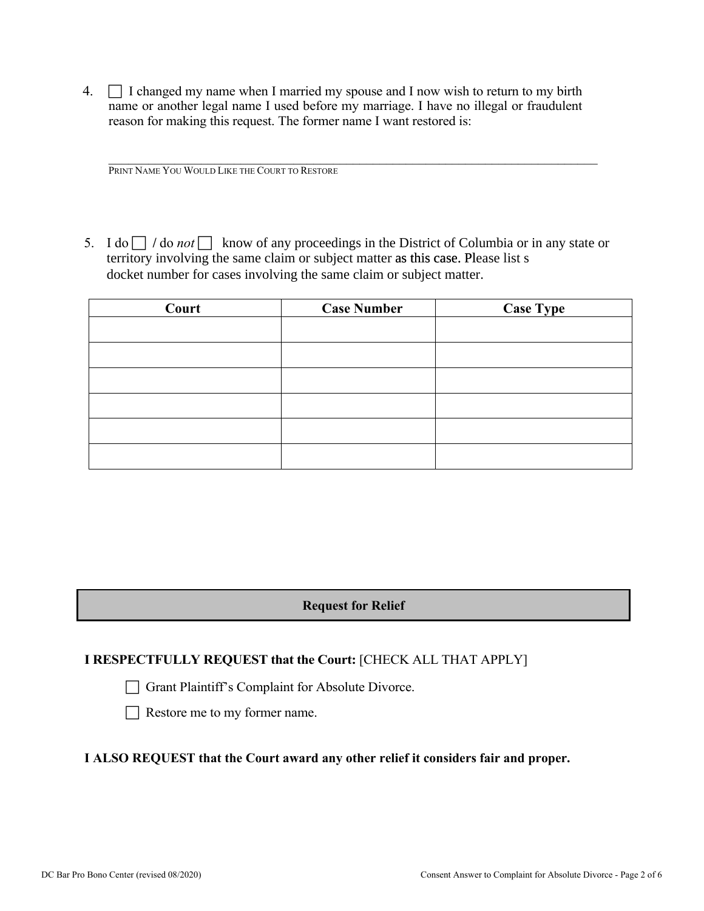4.  $\Box$  I changed my name when I married my spouse and I now wish to return to my birth name or another legal name I used before my marriage. I have no illegal or fraudulent reason for making this request. The former name I want restored is:

PRINT NAME YOU WOULD LIKE THE COURT TO RESTORE

5. I do  $\Box$  / do *not*  $\Box$  know of any proceedings in the District of Columbia or in any state or territory involving the same claim or subject matter as this case. Please list s docket number for cases involving the same claim or subject matter.

 $\mathcal{L}_\mathcal{L} = \mathcal{L}_\mathcal{L} = \mathcal{L}_\mathcal{L} = \mathcal{L}_\mathcal{L} = \mathcal{L}_\mathcal{L} = \mathcal{L}_\mathcal{L} = \mathcal{L}_\mathcal{L} = \mathcal{L}_\mathcal{L} = \mathcal{L}_\mathcal{L} = \mathcal{L}_\mathcal{L} = \mathcal{L}_\mathcal{L} = \mathcal{L}_\mathcal{L} = \mathcal{L}_\mathcal{L} = \mathcal{L}_\mathcal{L} = \mathcal{L}_\mathcal{L} = \mathcal{L}_\mathcal{L} = \mathcal{L}_\mathcal{L}$ 

| Court | <b>Case Number</b> | <b>Case Type</b> |
|-------|--------------------|------------------|
|       |                    |                  |
|       |                    |                  |
|       |                    |                  |
|       |                    |                  |
|       |                    |                  |
|       |                    |                  |

**Request for Relief** 

## **I RESPECTFULLY REQUEST that the Court:** [CHECK ALL THAT APPLY]

Grant Plaintiff's Complaint for Absolute Divorce.

 $\Box$  Restore me to my former name.

#### **I ALSO REQUEST that the Court award any other relief it considers fair and proper.**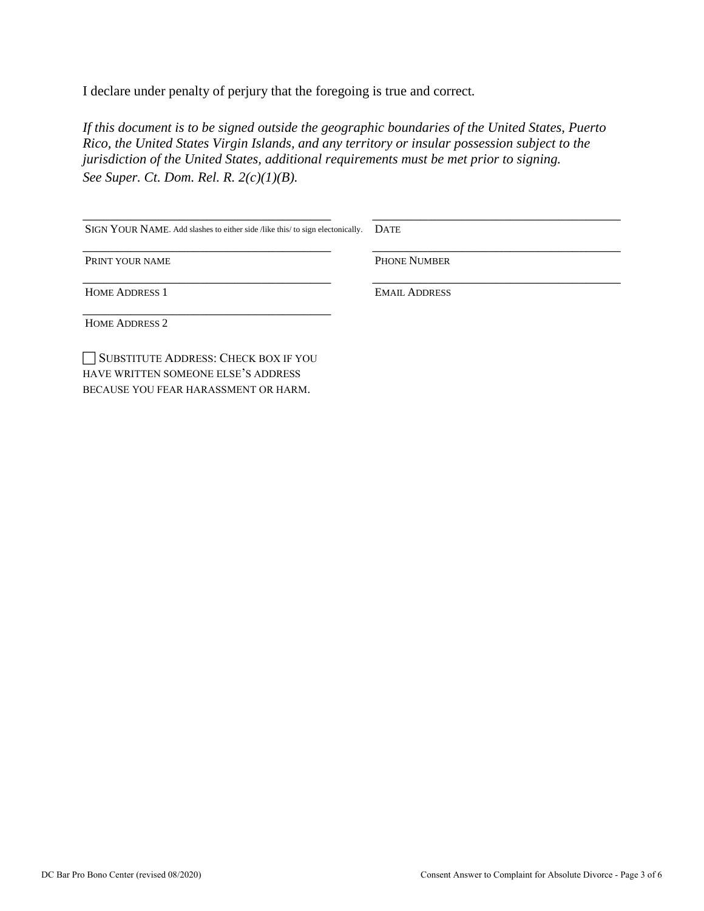I declare under penalty of perjury that the foregoing is true and correct*.* 

*If this document is to be signed outside the geographic boundaries of the United States, Puerto Rico, the United States Virgin Islands, and any territory or insular possession subject to the jurisdiction of the United States, additional requirements must be met prior to signing. See Super. Ct. Dom. Rel. R. 2(c)(1)(B).*

| SIGN YOUR NAME. Add slashes to either side /like this/ to sign electonically. | <b>DATE</b>          |
|-------------------------------------------------------------------------------|----------------------|
| PRINT YOUR NAME                                                               | <b>PHONE NUMBER</b>  |
| <b>HOME ADDRESS 1</b>                                                         | <b>EMAIL ADDRESS</b> |
| <b>HOME ADDRESS 2</b>                                                         |                      |
| SUBSTITUTE ADDRESS: CHECK BOX IF YOU<br>HAVE WRITTEN SOMEONE ELSE'S ADDRESS   |                      |

BECAUSE YOU FEAR HARASSMENT OR HARM.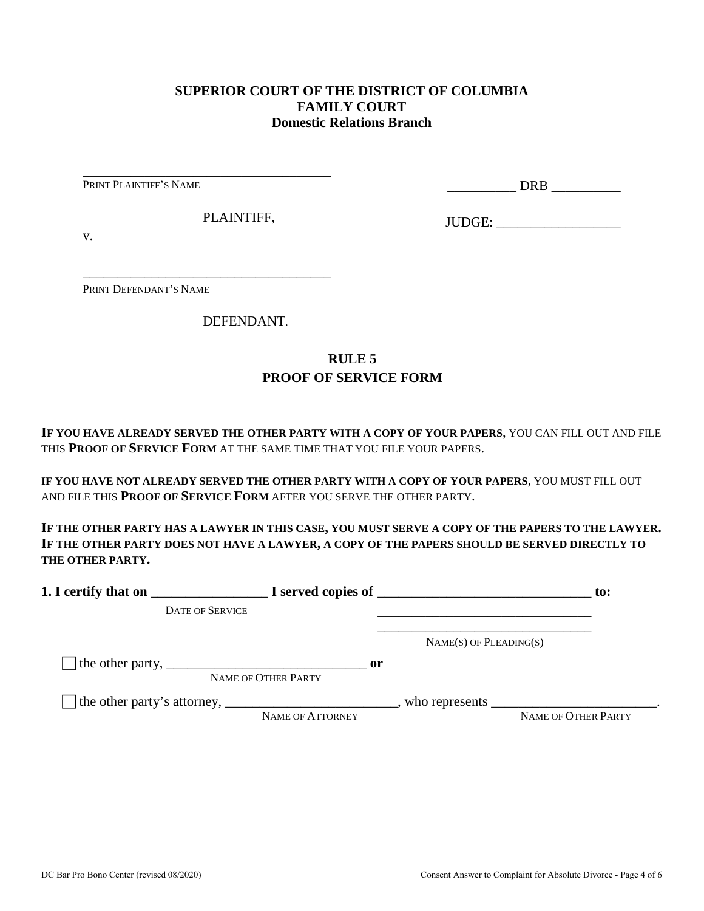### **SUPERIOR COURT OF THE DISTRICT OF COLUMBIA FAMILY COURT Domestic Relations Branch**

PRINT PLAINTIFF'S NAME

\_\_\_\_\_\_\_\_\_\_ DRB \_\_\_\_\_\_\_\_\_\_

PLAINTIFF,

\_\_\_\_\_\_\_\_\_\_\_\_\_\_\_\_\_\_\_\_\_\_\_\_\_\_\_\_\_\_\_\_\_\_\_\_

\_\_\_\_\_\_\_\_\_\_\_\_\_\_\_\_\_\_\_\_\_\_\_\_\_\_\_\_\_\_\_\_\_\_\_\_

JUDGE: \_\_\_\_\_\_\_\_\_\_\_\_\_\_\_\_\_\_

v.

PRINT DEFENDANT'S NAME

DEFENDANT.

# **RULE 5 PROOF OF SERVICE FORM**

**IF YOU HAVE ALREADY SERVED THE OTHER PARTY WITH A COPY OF YOUR PAPERS**, YOU CAN FILL OUT AND FILE THIS **PROOF OF SERVICE FORM** AT THE SAME TIME THAT YOU FILE YOUR PAPERS.

**IF YOU HAVE NOT ALREADY SERVED THE OTHER PARTY WITH A COPY OF YOUR PAPERS**, YOU MUST FILL OUT AND FILE THIS **PROOF OF SERVICE FORM** AFTER YOU SERVE THE OTHER PARTY.

**IF THE OTHER PARTY HAS A LAWYER IN THIS CASE, YOU MUST SERVE A COPY OF THE PAPERS TO THE LAWYER. IF THE OTHER PARTY DOES NOT HAVE A LAWYER, A COPY OF THE PAPERS SHOULD BE SERVED DIRECTLY TO THE OTHER PARTY.** 

| 1. I certify that on                                                                                      |                                      | $\blacksquare$ $\blacksquare$ I served copies of $\blacksquare$ | $\mathbf{to}$ :     |
|-----------------------------------------------------------------------------------------------------------|--------------------------------------|-----------------------------------------------------------------|---------------------|
| <b>DATE OF SERVICE</b>                                                                                    |                                      |                                                                 |                     |
|                                                                                                           |                                      | $NAME(S)$ OF PLEADING(S)                                        |                     |
| The other party, $\frac{1}{\sqrt{1-\frac{1}{2}}}\left\{1-\frac{1}{2}\right\}$                             | $\mathbf{or}$<br>NAME OF OTHER PARTY |                                                                 |                     |
| The other party's attorney, _______________________________, who represents ____________________________. | NAME OF ATTORNEY                     |                                                                 | NAME OF OTHER PARTY |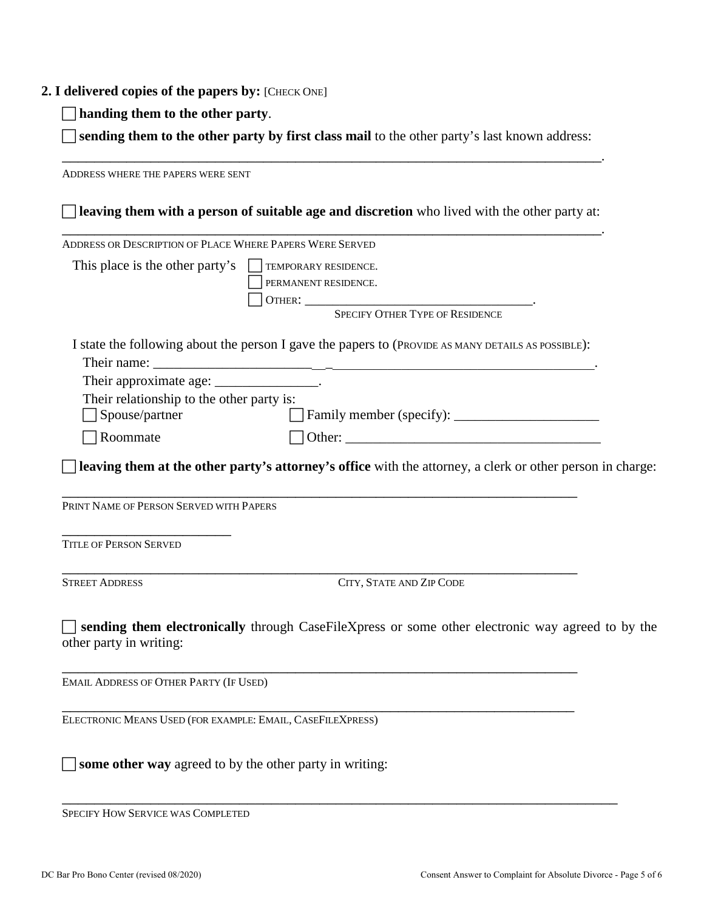#### **2. I delivered copies of the papers by:** [CHECK ONE]

**handing them to the other party**.

 **sending them to the other party by first class mail** to the other party's last known address: \_\_\_\_\_\_\_\_\_\_\_\_\_\_\_\_\_\_\_\_\_\_\_\_\_\_\_\_\_\_\_\_\_\_\_\_\_\_\_\_\_\_\_\_\_\_\_\_\_\_\_\_\_\_\_\_\_\_\_\_\_\_\_\_\_\_\_.

ADDRESS WHERE THE PAPERS WERE SENT **leaving them with a person of suitable age and discretion** who lived with the other party at: \_\_\_\_\_\_\_\_\_\_\_\_\_\_\_\_\_\_\_\_\_\_\_\_\_\_\_\_\_\_\_\_\_\_\_\_\_\_\_\_\_\_\_\_\_\_\_\_\_\_\_\_\_\_\_\_\_\_\_\_\_\_\_\_\_\_\_. ADDRESS OR DESCRIPTION OF PLACE WHERE PAPERS WERE SERVED This place is the other party's  $\Box$  TEMPORARY RESIDENCE. PERMANENT RESIDENCE. OTHER: \_\_\_\_\_\_\_\_\_\_\_\_\_\_\_\_\_\_\_\_\_\_\_\_\_\_\_\_\_\_\_\_\_. SPECIFY OTHER TYPE OF RESIDENCE I state the following about the person I gave the papers to (PROVIDE AS MANY DETAILS AS POSSIBLE): Their name: Their approximate age: \_\_\_\_\_\_\_\_\_\_\_\_\_\_\_\_. Their relationship to the other party is: Spouse/partner Family member (specify): \_\_\_\_\_\_\_\_\_\_\_\_\_\_\_\_\_\_\_\_\_  $\Box$  Roommate  $\Box$  Other: **leaving them at the other party's attorney's office** with the attorney, a clerk or other person in charge: \_\_\_\_\_\_\_\_\_\_\_\_\_\_\_\_\_\_\_\_\_\_\_\_\_\_\_\_\_\_\_\_\_\_\_\_\_\_\_\_\_\_\_\_\_\_\_\_\_\_\_\_\_\_\_\_\_\_\_\_\_\_\_\_ PRINT NAME OF PERSON SERVED WITH PAPERS \_\_\_\_\_\_\_\_\_\_\_\_\_\_\_\_\_\_\_\_\_ TITLE OF PERSON SERVED \_\_\_\_\_\_\_\_\_\_\_\_\_\_\_\_\_\_\_\_\_\_\_\_\_\_\_\_\_\_\_\_\_\_\_\_\_\_\_\_\_\_\_\_\_\_\_\_\_\_\_\_\_\_\_\_\_\_\_\_\_\_\_\_ STREET ADDRESS CITY, STATE AND ZIP CODE **sending them electronically** through CaseFileXpress or some other electronic way agreed to by the other party in writing: \_\_\_\_\_\_\_\_\_\_\_\_\_\_\_\_\_\_\_\_\_\_\_\_\_\_\_\_\_\_\_\_\_\_\_\_\_\_\_\_\_\_\_\_\_\_\_\_\_\_\_\_\_\_\_\_\_\_\_\_\_\_\_\_ EMAIL ADDRESS OF OTHER PARTY (IF USED) \_\_\_\_\_\_\_\_\_\_\_\_\_\_\_\_\_\_\_\_\_\_\_\_\_\_\_\_\_\_\_\_\_\_\_\_\_\_\_\_\_\_\_\_\_\_\_\_\_\_\_\_\_\_\_\_\_\_\_\_\_\_\_\_ ELECTRONIC MEANS USED (FOR EXAMPLE: EMAIL, CASEFILEXPRESS) **some other way** agreed to by the other party in writing:

\_\_\_\_\_\_\_\_\_\_\_\_\_\_\_\_\_\_\_\_\_\_\_\_\_\_\_\_\_\_\_\_\_\_\_\_\_\_\_\_\_\_\_\_\_\_\_\_\_\_\_\_\_\_\_\_\_\_\_\_\_\_\_\_\_\_\_\_\_ SPECIFY HOW SERVICE WAS COMPLETED